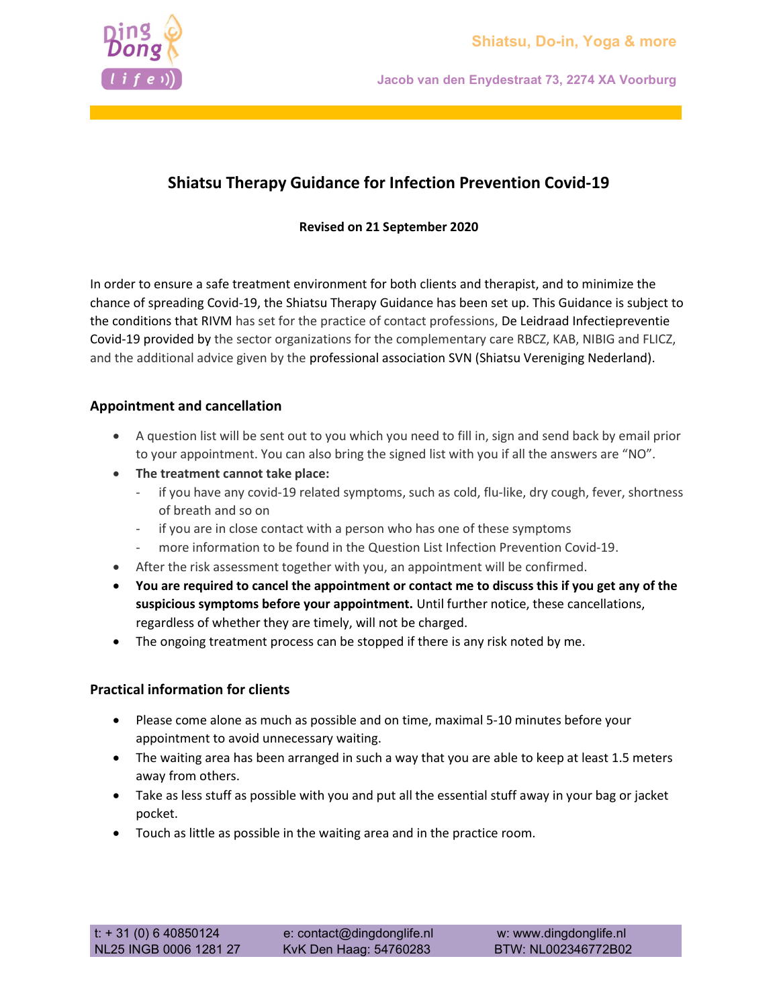Jacob van den Enydestraat 73, 2274 XA Voorburg

## Shiatsu Therapy Guidance for Infection Prevention Covid-19

Revised on 21 September 2020

In order to ensure a safe treatment environment for both clients and therapist, and to minimize the chance of spreading Covid-19, the Shiatsu Therapy Guidance has been set up. This Guidance is subject to the conditions that RIVM has set for the practice of contact professions, De Leidraad Infectiepreventie Covid-19 provided by the sector organizations for the complementary care RBCZ, KAB, NIBIG and FLICZ, and the additional advice given by the professional association SVN (Shiatsu Vereniging Nederland).

## Appointment and cancellation

- A question list will be sent out to you which you need to fill in, sign and send back by email prior to your appointment. You can also bring the signed list with you if all the answers are "NO".
- The treatment cannot take place:
	- if you have any covid-19 related symptoms, such as cold, flu-like, dry cough, fever, shortness of breath and so on
	- if you are in close contact with a person who has one of these symptoms
	- more information to be found in the Question List Infection Prevention Covid-19.
- After the risk assessment together with you, an appointment will be confirmed.
- You are required to cancel the appointment or contact me to discuss this if you get any of the suspicious symptoms before your appointment. Until further notice, these cancellations, regardless of whether they are timely, will not be charged.
- The ongoing treatment process can be stopped if there is any risk noted by me.

## Practical information for clients

- Please come alone as much as possible and on time, maximal 5-10 minutes before your appointment to avoid unnecessary waiting.
- The waiting area has been arranged in such a way that you are able to keep at least 1.5 meters away from others.
- Take as less stuff as possible with you and put all the essential stuff away in your bag or jacket pocket.
- Touch as little as possible in the waiting area and in the practice room.